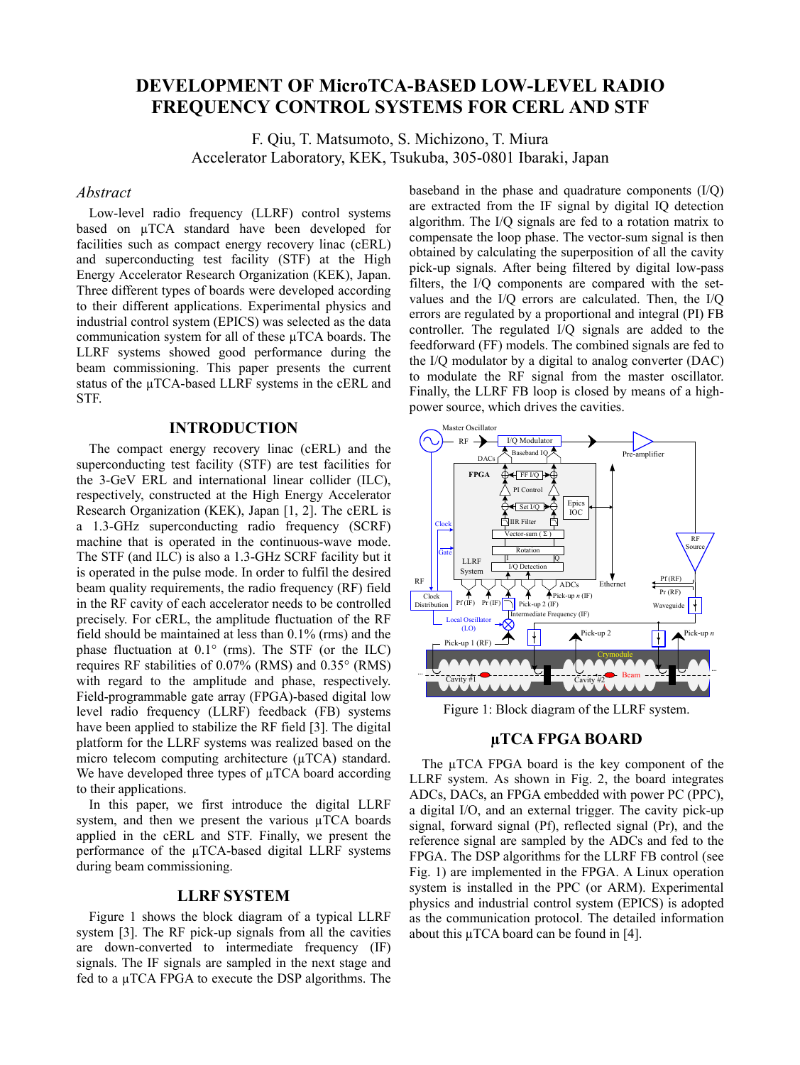# **DEVELOPMENT OF MicroTCA-BASED LOW-LEVEL RADIO FREQUENCY CONTROL SYSTEMS FOR CERL AND STF**

F. Qiu, T. Matsumoto, S. Michizono, T. Miura Accelerator Laboratory, KEK, Tsukuba, 305-0801 Ibaraki, Japan

### *Abstract*

Low-level radio frequency (LLRF) control systems based on µTCA standard have been developed for facilities such as compact energy recovery linac (cERL) and superconducting test facility (STF) at the High Energy Accelerator Research Organization (KEK), Japan. Three different types of boards were developed according to their different applications. Experimental physics and industrial control system (EPICS) was selected as the data communication system for all of these µTCA boards. The LLRF systems showed good performance during the beam commissioning. This paper presents the current status of the µTCA-based LLRF systems in the cERL and STF.

### **INTRODUCTION**

The compact energy recovery linac (cERL) and the superconducting test facility (STF) are test facilities for the 3-GeV ERL and international linear collider (ILC), respectively, constructed at the High Energy Accelerator Research Organization (KEK), Japan [1, 2]. The cERL is a 1.3-GHz superconducting radio frequency (SCRF) machine that is operated in the continuous-wave mode. The STF (and ILC) is also a 1.3-GHz SCRF facility but it is operated in the pulse mode. In order to fulfil the desired beam quality requirements, the radio frequency (RF) field in the RF cavity of each accelerator needs to be controlled precisely. For cERL, the amplitude fluctuation of the RF field should be maintained at less than 0.1% (rms) and the phase fluctuation at  $0.1^{\circ}$  (rms). The STF (or the ILC) requires RF stabilities of 0.07% (RMS) and 0.35° (RMS) with regard to the amplitude and phase, respectively. Field-programmable gate array (FPGA)-based digital low level radio frequency (LLRF) feedback (FB) systems have been applied to stabilize the RF field [3]. The digital platform for the LLRF systems was realized based on the micro telecom computing architecture ( $\mu$ TCA) standard. We have developed three types of  $\mu TCA$  board according to their applications.

In this paper, we first introduce the digital LLRF system, and then we present the various µTCA boards applied in the cERL and STF. Finally, we present the performance of the µTCA-based digital LLRF systems during beam commissioning.

### **LLRF SYSTEM**

Figure 1 shows the block diagram of a typical LLRF system [3]. The RF pick-up signals from all the cavities are down-converted to intermediate frequency (IF) signals. The IF signals are sampled in the next stage and fed to a µTCA FPGA to execute the DSP algorithms. The baseband in the phase and quadrature components (I/Q) are extracted from the IF signal by digital IQ detection algorithm. The I/Q signals are fed to a rotation matrix to compensate the loop phase. The vector-sum signal is then obtained by calculating the superposition of all the cavity pick-up signals. After being filtered by digital low-pass filters, the I/Q components are compared with the setvalues and the I/Q errors are calculated. Then, the I/Q errors are regulated by a proportional and integral (PI) FB controller. The regulated I/Q signals are added to the feedforward (FF) models. The combined signals are fed to the I/Q modulator by a digital to analog converter (DAC) to modulate the RF signal from the master oscillator. Finally, the LLRF FB loop is closed by means of a highpower source, which drives the cavities.



Figure 1: Block diagram of the LLRF system.

## **µTCA FPGA BOARD**

The  $\mu$ TCA FPGA board is the key component of the LLRF system. As shown in Fig. 2, the board integrates ADCs, DACs, an FPGA embedded with power PC (PPC), a digital I/O, and an external trigger. The cavity pick-up signal, forward signal (Pf), reflected signal (Pr), and the reference signal are sampled by the ADCs and fed to the FPGA. The DSP algorithms for the LLRF FB control (see Fig. 1) are implemented in the FPGA. A Linux operation system is installed in the PPC (or ARM). Experimental physics and industrial control system (EPICS) is adopted as the communication protocol. The detailed information about this µTCA board can be found in [4].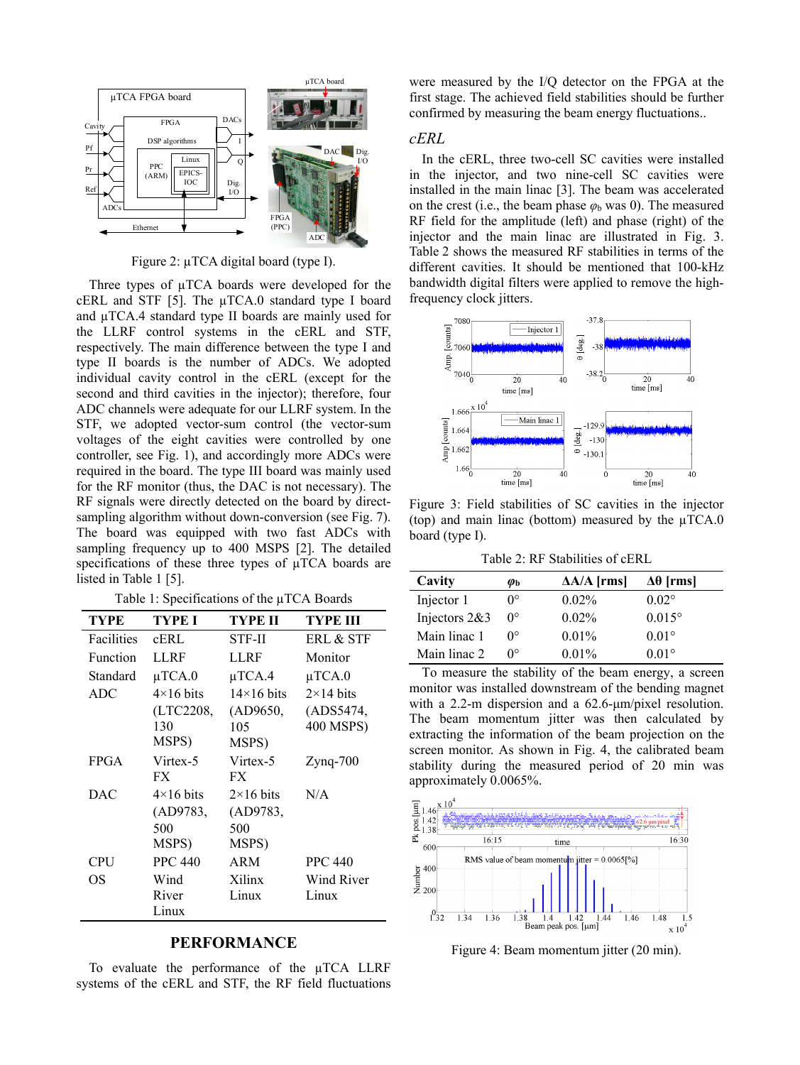

Figure 2: µTCA digital board (type I).

Three types of  $\mu$ TCA boards were developed for the cERL and STF [5]. The µTCA.0 standard type I board and µTCA.4 standard type II boards are mainly used for the LLRF control systems in the cERL and STF, respectively. The main difference between the type I and type II boards is the number of ADCs. We adopted individual cavity control in the cERL (except for the second and third cavities in the injector); therefore, four ADC channels were adequate for our LLRF system. In the STF, we adopted vector-sum control (the vector-sum voltages of the eight cavities were controlled by one controller, see Fig. 1), and accordingly more ADCs were required in the board. The type III board was mainly used for the RF monitor (thus, the DAC is not necessary). The RF signals were directly detected on the board by directsampling algorithm without down-conversion (see Fig. 7). The board was equipped with two fast ADCs with sampling frequency up to 400 MSPS [2]. The detailed specifications of these three types of  $\mu TCA$  boards are listed in Table 1 [5].

Table 1: Specifications of the µTCA Boards

| <b>TYPE</b> | <b>TYPE I</b>    | TYPE II           | TYPE III         |
|-------------|------------------|-------------------|------------------|
| Facilities  | cERL             | STF-II            | ERL & STF        |
| Function    | LLRF             | LLRF              | Monitor          |
| Standard    | $\mu$ TCA.0      | $\mu$ TCA.4       | $\mu$ TCA.0      |
| ADC         | $4\times16$ bits | $14\times16$ bits | $2\times14$ bits |
|             | (LTC2208,        | (AD9650,          | (ADS5474,        |
|             | 130              | 105               | 400 MSPS)        |
|             | MSPS)            | MSPS)             |                  |
| <b>FPGA</b> | Virtex-5         | Virtex-5          | $Z$ yng- $700$   |
|             | FX.              | <b>FX</b>         |                  |
| <b>DAC</b>  | $4\times16$ bits | $2\times16$ bits  | N/A              |
|             | (AD9783,         | (AD9783,          |                  |
|             | 500              | 500               |                  |
|             | MSPS)            | MSPS)             |                  |
| CPU         | <b>PPC 440</b>   | ARM               | <b>PPC 440</b>   |
| OS          | Wind             | Xilinx            | Wind River       |
|             | River            | Linux             | Linux            |
|             | Linux            |                   |                  |

## **PERFORMANCE**

To evaluate the performance of the µTCA LLRF systems of the cERL and STF, the RF field fluctuations were measured by the I/Q detector on the FPGA at the first stage. The achieved field stabilities should be further confirmed by measuring the beam energy fluctuations..

#### *cERL*

In the cERL, three two-cell SC cavities were installed in the injector, and two nine-cell SC cavities were installed in the main linac [3]. The beam was accelerated on the crest (i.e., the beam phase  $\varphi_b$  was 0). The measured RF field for the amplitude (left) and phase (right) of the injector and the main linac are illustrated in Fig. 3. Table 2 shows the measured RF stabilities in terms of the different cavities. It should be mentioned that 100-kHz bandwidth digital filters were applied to remove the highfrequency clock jitters.



Figure 3: Field stabilities of SC cavities in the injector (top) and main linac (bottom) measured by the  $\mu$ TCA.0 board (type I).

Table 2: RF Stabilities of cERL

| Cavity          | $\boldsymbol{\varphi}_{\mathbf{b}}$ | $\Delta A/A$ [rms] | $Δθ$ [rms]      |
|-----------------|-------------------------------------|--------------------|-----------------|
| Injector 1      | ∩∘                                  | $0.02\%$           | $0.02^{\circ}$  |
| Injectors $2&3$ | $0^{\circ}$                         | $0.02\%$           | $0.015^{\circ}$ |
| Main linac 1    | ∩∘                                  | $0.01\%$           | $0.01^\circ$    |
| Main linac 2    | ∩∘                                  | $0.01\%$           | $0.01^\circ$    |

To measure the stability of the beam energy, a screen monitor was installed downstream of the bending magnet with a 2.2-m dispersion and a 62.6-μm/pixel resolution. The beam momentum jitter was then calculated by extracting the information of the beam projection on the screen monitor. As shown in Fig. 4, the calibrated beam stability during the measured period of 20 min was approximately 0.0065%.



Figure 4: Beam momentum jitter (20 min).